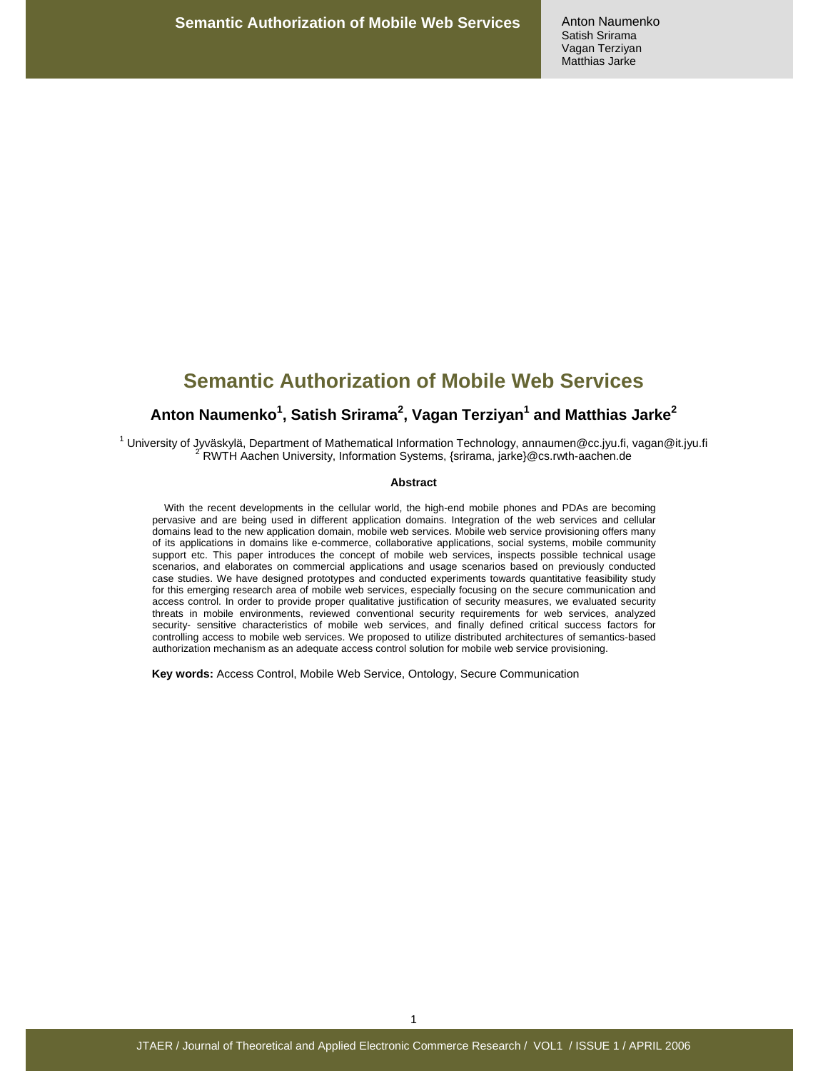# **Semantic Authorization of Mobile Web Services**

## **Anton Naumenko<sup>1</sup> , Satish Srirama<sup>2</sup> , Vagan Terziyan<sup>1</sup> and Matthias Jarke<sup>2</sup>**

1 University of Jyväskylä, Department of Mathematical Information Technology, annaumen@cc.jyu.fi, vagan@it.jyu.fi 2 RWTH Aachen University, Information Systems, {srirama, jarke}@cs.rwth-aachen.de

#### **Abstract**

With the recent developments in the cellular world, the high-end mobile phones and PDAs are becoming pervasive and are being used in different application domains. Integration of the web services and cellular domains lead to the new application domain, mobile web services. Mobile web service provisioning offers many of its applications in domains like e-commerce, collaborative applications, social systems, mobile community support etc. This paper introduces the concept of mobile web services, inspects possible technical usage scenarios, and elaborates on commercial applications and usage scenarios based on previously conducted case studies. We have designed prototypes and conducted experiments towards quantitative feasibility study for this emerging research area of mobile web services, especially focusing on the secure communication and access control. In order to provide proper qualitative justification of security measures, we evaluated security threats in mobile environments, reviewed conventional security requirements for web services, analyzed security- sensitive characteristics of mobile web services, and finally defined critical success factors for controlling access to mobile web services. We proposed to utilize distributed architectures of semantics-based authorization mechanism as an adequate access control solution for mobile web service provisioning.

**Key words:** Access Control, Mobile Web Service, Ontology, Secure Communication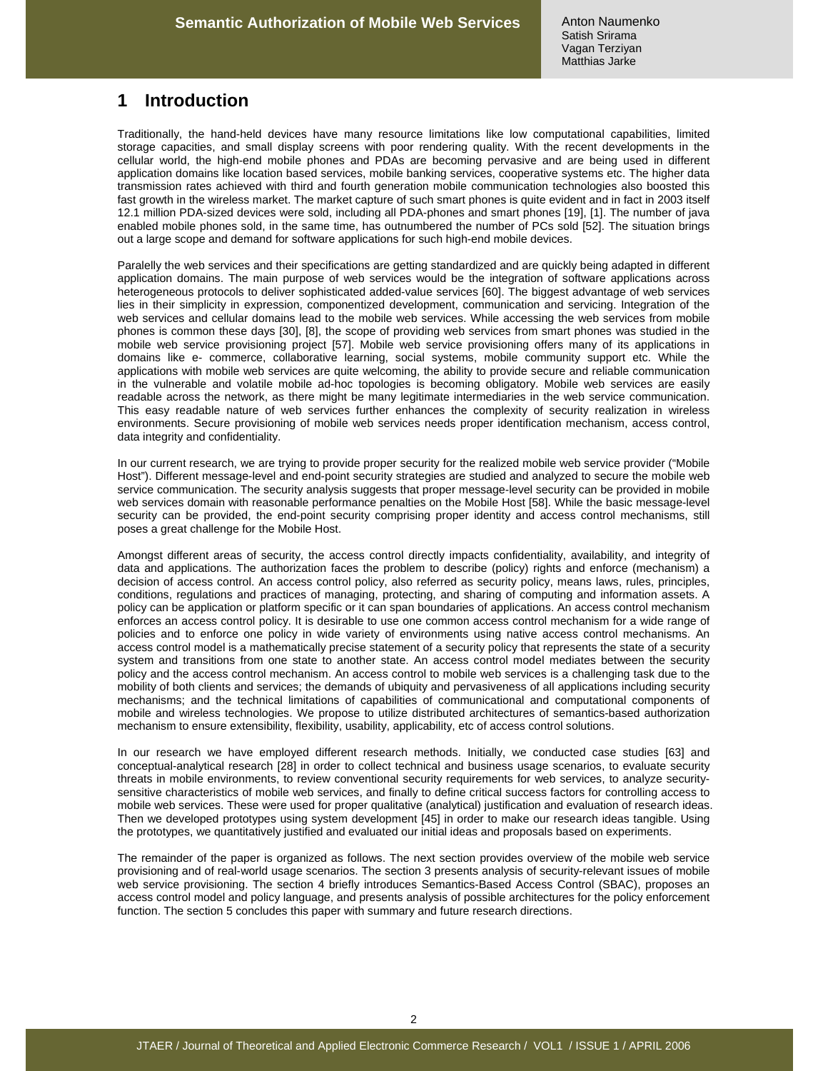# **1 Introduction**

Traditionally, the hand-held devices have many resource limitations like low computational capabilities, limited storage capacities, and small display screens with poor rendering quality. With the recent developments in the cellular world, the high-end mobile phones and PDAs are becoming pervasive and are being used in different application domains like location based services, mobile banking services, cooperative systems etc. The higher data transmission rates achieved with third and fourth generation mobile communication technologies also boosted this fast growth in the wireless market. The market capture of such smart phones is quite evident and in fact in 2003 itself 12.1 million PDA-sized devices were sold, including all PDA-phones and smart phones [19], [1]. The number of java enabled mobile phones sold, in the same time, has outnumbered the number of PCs sold [52]. The situation brings out a large scope and demand for software applications for such high-end mobile devices.

Paralelly the web services and their specifications are getting standardized and are quickly being adapted in different application domains. The main purpose of web services would be the integration of software applications across heterogeneous protocols to deliver sophisticated added-value services [60]. The biggest advantage of web services lies in their simplicity in expression, componentized development, communication and servicing. Integration of the web services and cellular domains lead to the mobile web services. While accessing the web services from mobile phones is common these days [30], [8], the scope of providing web services from smart phones was studied in the mobile web service provisioning project [57]. Mobile web service provisioning offers many of its applications in domains like e- commerce, collaborative learning, social systems, mobile community support etc. While the applications with mobile web services are quite welcoming, the ability to provide secure and reliable communication in the vulnerable and volatile mobile ad-hoc topologies is becoming obligatory. Mobile web services are easily readable across the network, as there might be many legitimate intermediaries in the web service communication. This easy readable nature of web services further enhances the complexity of security realization in wireless environments. Secure provisioning of mobile web services needs proper identification mechanism, access control, data integrity and confidentiality.

In our current research, we are trying to provide proper security for the realized mobile web service provider ("Mobile Host"). Different message-level and end-point security strategies are studied and analyzed to secure the mobile web service communication. The security analysis suggests that proper message-level security can be provided in mobile web services domain with reasonable performance penalties on the Mobile Host [58]. While the basic message-level security can be provided, the end-point security comprising proper identity and access control mechanisms, still poses a great challenge for the Mobile Host.

Amongst different areas of security, the access control directly impacts confidentiality, availability, and integrity of data and applications. The authorization faces the problem to describe (policy) rights and enforce (mechanism) a decision of access control. An access control policy, also referred as security policy, means laws, rules, principles, conditions, regulations and practices of managing, protecting, and sharing of computing and information assets. A policy can be application or platform specific or it can span boundaries of applications. An access control mechanism enforces an access control policy. It is desirable to use one common access control mechanism for a wide range of policies and to enforce one policy in wide variety of environments using native access control mechanisms. An access control model is a mathematically precise statement of a security policy that represents the state of a security system and transitions from one state to another state. An access control model mediates between the security policy and the access control mechanism. An access control to mobile web services is a challenging task due to the mobility of both clients and services; the demands of ubiquity and pervasiveness of all applications including security mechanisms; and the technical limitations of capabilities of communicational and computational components of mobile and wireless technologies. We propose to utilize distributed architectures of semantics-based authorization mechanism to ensure extensibility, flexibility, usability, applicability, etc of access control solutions.

In our research we have employed different research methods. Initially, we conducted case studies [63] and conceptual-analytical research [28] in order to collect technical and business usage scenarios, to evaluate security threats in mobile environments, to review conventional security requirements for web services, to analyze securitysensitive characteristics of mobile web services, and finally to define critical success factors for controlling access to mobile web services. These were used for proper qualitative (analytical) justification and evaluation of research ideas. Then we developed prototypes using system development [45] in order to make our research ideas tangible. Using the prototypes, we quantitatively justified and evaluated our initial ideas and proposals based on experiments.

The remainder of the paper is organized as follows. The next section provides overview of the mobile web service provisioning and of real-world usage scenarios. The section 3 presents analysis of security-relevant issues of mobile web service provisioning. The section 4 briefly introduces Semantics-Based Access Control (SBAC), proposes an access control model and policy language, and presents analysis of possible architectures for the policy enforcement function. The section 5 concludes this paper with summary and future research directions.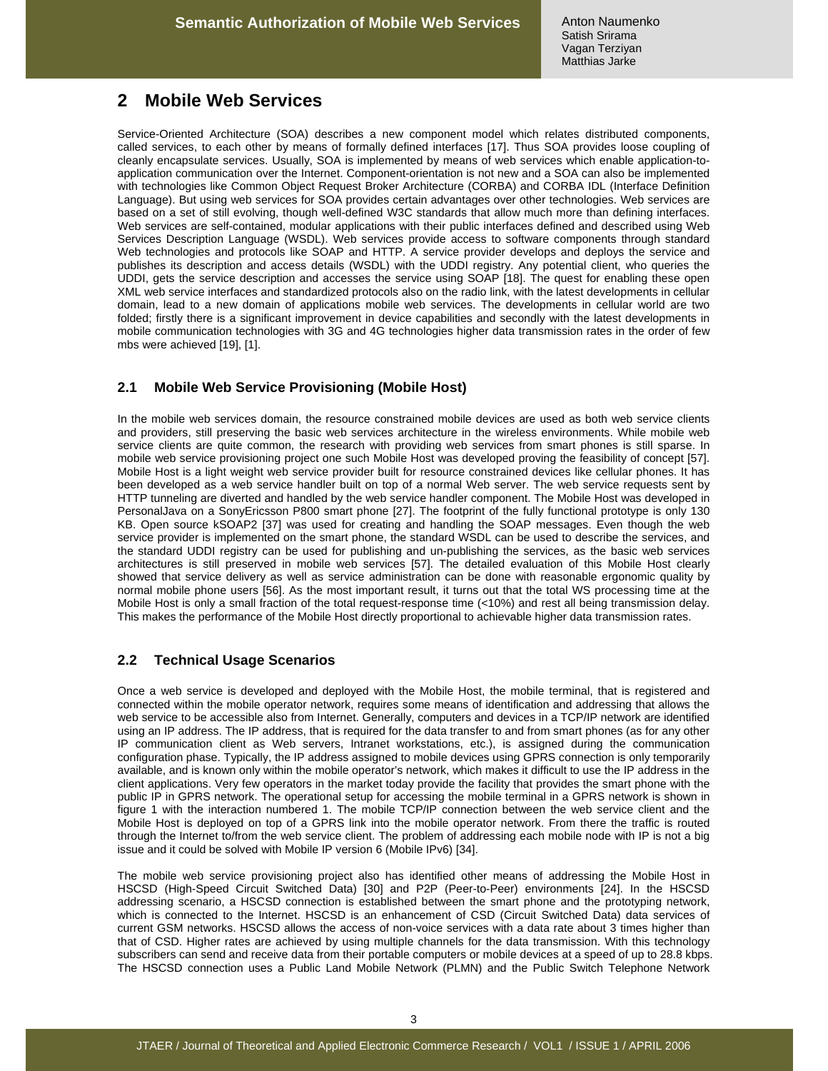# **2 Mobile Web Services**

Service-Oriented Architecture (SOA) describes a new component model which relates distributed components, called services, to each other by means of formally defined interfaces [17]. Thus SOA provides loose coupling of cleanly encapsulate services. Usually, SOA is implemented by means of web services which enable application-toapplication communication over the Internet. Component-orientation is not new and a SOA can also be implemented with technologies like Common Object Request Broker Architecture (CORBA) and CORBA IDL (Interface Definition Language). But using web services for SOA provides certain advantages over other technologies. Web services are based on a set of still evolving, though well-defined W3C standards that allow much more than defining interfaces. Web services are self-contained, modular applications with their public interfaces defined and described using Web Services Description Language (WSDL). Web services provide access to software components through standard Web technologies and protocols like SOAP and HTTP. A service provider develops and deploys the service and publishes its description and access details (WSDL) with the UDDI registry. Any potential client, who queries the UDDI, gets the service description and accesses the service using SOAP [18]. The quest for enabling these open XML web service interfaces and standardized protocols also on the radio link, with the latest developments in cellular domain, lead to a new domain of applications mobile web services. The developments in cellular world are two folded; firstly there is a significant improvement in device capabilities and secondly with the latest developments in mobile communication technologies with 3G and 4G technologies higher data transmission rates in the order of few mbs were achieved [19], [1].

### **2.1 Mobile Web Service Provisioning (Mobile Host)**

In the mobile web services domain, the resource constrained mobile devices are used as both web service clients and providers, still preserving the basic web services architecture in the wireless environments. While mobile web service clients are quite common, the research with providing web services from smart phones is still sparse. In mobile web service provisioning project one such Mobile Host was developed proving the feasibility of concept [57]. Mobile Host is a light weight web service provider built for resource constrained devices like cellular phones. It has been developed as a web service handler built on top of a normal Web server. The web service requests sent by HTTP tunneling are diverted and handled by the web service handler component. The Mobile Host was developed in PersonalJava on a SonyEricsson P800 smart phone [27]. The footprint of the fully functional prototype is only 130 KB. Open source kSOAP2 [37] was used for creating and handling the SOAP messages. Even though the web service provider is implemented on the smart phone, the standard WSDL can be used to describe the services, and the standard UDDI registry can be used for publishing and un-publishing the services, as the basic web services architectures is still preserved in mobile web services [57]. The detailed evaluation of this Mobile Host clearly showed that service delivery as well as service administration can be done with reasonable ergonomic quality by normal mobile phone users [56]. As the most important result, it turns out that the total WS processing time at the Mobile Host is only a small fraction of the total request-response time (<10%) and rest all being transmission delay. This makes the performance of the Mobile Host directly proportional to achievable higher data transmission rates.

### **2.2 Technical Usage Scenarios**

Once a web service is developed and deployed with the Mobile Host, the mobile terminal, that is registered and connected within the mobile operator network, requires some means of identification and addressing that allows the web service to be accessible also from Internet. Generally, computers and devices in a TCP/IP network are identified using an IP address. The IP address, that is required for the data transfer to and from smart phones (as for any other IP communication client as Web servers, Intranet workstations, etc.), is assigned during the communication configuration phase. Typically, the IP address assigned to mobile devices using GPRS connection is only temporarily available, and is known only within the mobile operator's network, which makes it difficult to use the IP address in the client applications. Very few operators in the market today provide the facility that provides the smart phone with the public IP in GPRS network. The operational setup for accessing the mobile terminal in a GPRS network is shown in figure 1 with the interaction numbered 1. The mobile TCP/IP connection between the web service client and the Mobile Host is deployed on top of a GPRS link into the mobile operator network. From there the traffic is routed through the Internet to/from the web service client. The problem of addressing each mobile node with IP is not a big issue and it could be solved with Mobile IP version 6 (Mobile IPv6) [34].

The mobile web service provisioning project also has identified other means of addressing the Mobile Host in HSCSD (High-Speed Circuit Switched Data) [30] and P2P (Peer-to-Peer) environments [24]. In the HSCSD addressing scenario, a HSCSD connection is established between the smart phone and the prototyping network, which is connected to the Internet. HSCSD is an enhancement of CSD (Circuit Switched Data) data services of current GSM networks. HSCSD allows the access of non-voice services with a data rate about 3 times higher than that of CSD. Higher rates are achieved by using multiple channels for the data transmission. With this technology subscribers can send and receive data from their portable computers or mobile devices at a speed of up to 28.8 kbps. The HSCSD connection uses a Public Land Mobile Network (PLMN) and the Public Switch Telephone Network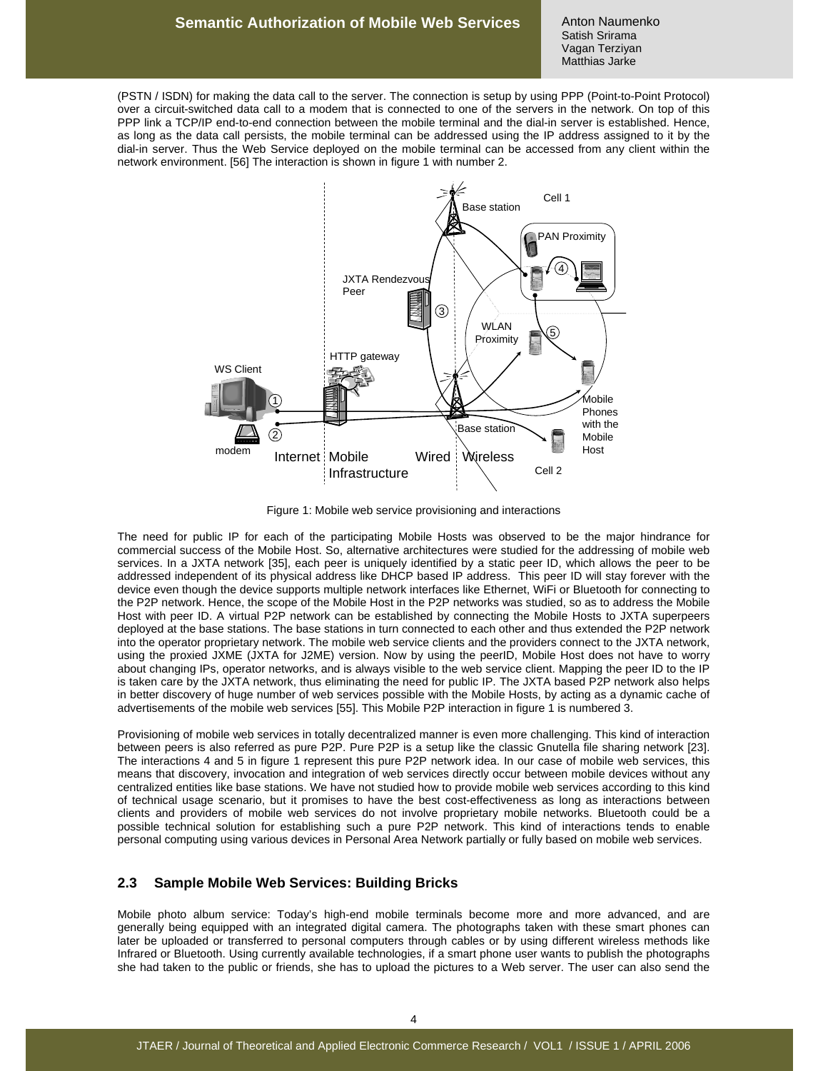Anton Naumenko Satish Srirama Vagan Terziyan Matthias Jarke

(PSTN / ISDN) for making the data call to the server. The connection is setup by using PPP (Point-to-Point Protocol) over a circuit-switched data call to a modem that is connected to one of the servers in the network. On top of this PPP link a TCP/IP end-to-end connection between the mobile terminal and the dial-in server is established. Hence, as long as the data call persists, the mobile terminal can be addressed using the IP address assigned to it by the dial-in server. Thus the Web Service deployed on the mobile terminal can be accessed from any client within the network environment. [56] The interaction is shown in figure 1 with number 2.



Figure 1: Mobile web service provisioning and interactions

The need for public IP for each of the participating Mobile Hosts was observed to be the major hindrance for commercial success of the Mobile Host. So, alternative architectures were studied for the addressing of mobile web services. In a JXTA network [35], each peer is uniquely identified by a static peer ID, which allows the peer to be addressed independent of its physical address like DHCP based IP address. This peer ID will stay forever with the device even though the device supports multiple network interfaces like Ethernet, WiFi or Bluetooth for connecting to the P2P network. Hence, the scope of the Mobile Host in the P2P networks was studied, so as to address the Mobile Host with peer ID. A virtual P2P network can be established by connecting the Mobile Hosts to JXTA superpeers deployed at the base stations. The base stations in turn connected to each other and thus extended the P2P network into the operator proprietary network. The mobile web service clients and the providers connect to the JXTA network, using the proxied JXME (JXTA for J2ME) version. Now by using the peerID, Mobile Host does not have to worry about changing IPs, operator networks, and is always visible to the web service client. Mapping the peer ID to the IP is taken care by the JXTA network, thus eliminating the need for public IP. The JXTA based P2P network also helps in better discovery of huge number of web services possible with the Mobile Hosts, by acting as a dynamic cache of advertisements of the mobile web services [55]. This Mobile P2P interaction in figure 1 is numbered 3.

Provisioning of mobile web services in totally decentralized manner is even more challenging. This kind of interaction between peers is also referred as pure P2P. Pure P2P is a setup like the classic Gnutella file sharing network [23]. The interactions 4 and 5 in figure 1 represent this pure P2P network idea. In our case of mobile web services, this means that discovery, invocation and integration of web services directly occur between mobile devices without any centralized entities like base stations. We have not studied how to provide mobile web services according to this kind of technical usage scenario, but it promises to have the best cost-effectiveness as long as interactions between clients and providers of mobile web services do not involve proprietary mobile networks. Bluetooth could be a possible technical solution for establishing such a pure P2P network. This kind of interactions tends to enable personal computing using various devices in Personal Area Network partially or fully based on mobile web services.

#### **2.3 Sample Mobile Web Services: Building Bricks**

Mobile photo album service: Today's high-end mobile terminals become more and more advanced, and are generally being equipped with an integrated digital camera. The photographs taken with these smart phones can later be uploaded or transferred to personal computers through cables or by using different wireless methods like Infrared or Bluetooth. Using currently available technologies, if a smart phone user wants to publish the photographs she had taken to the public or friends, she has to upload the pictures to a Web server. The user can also send the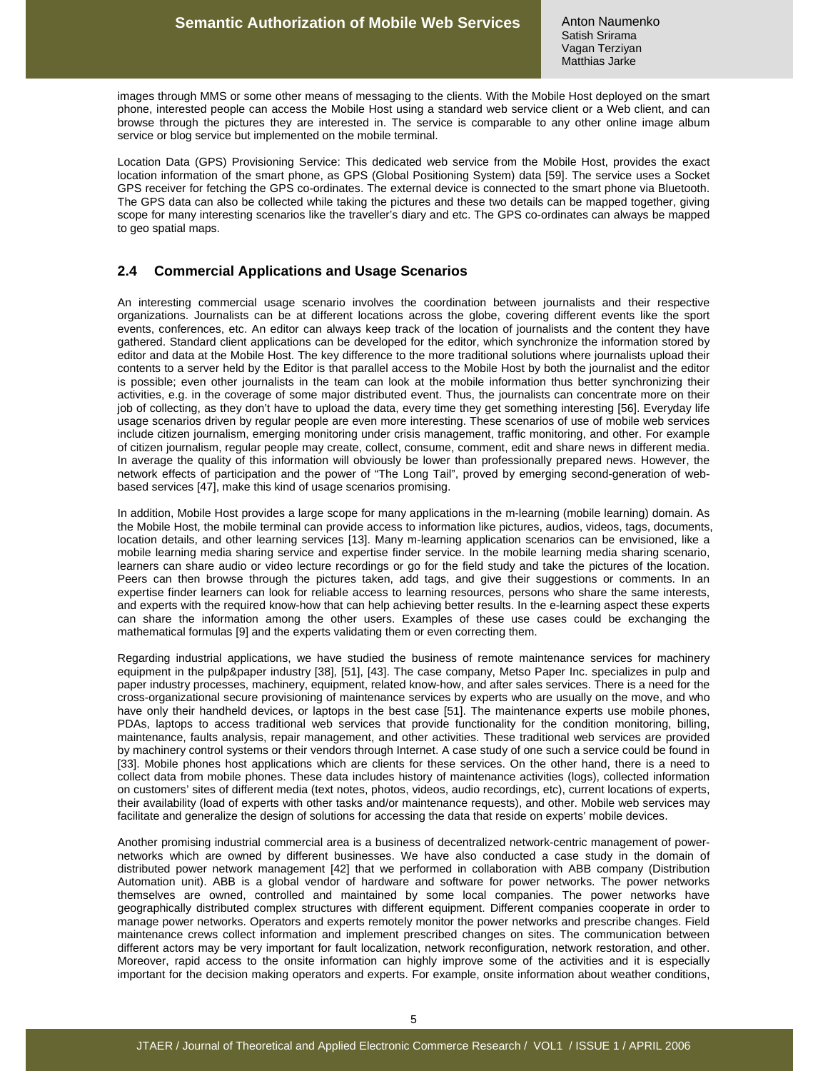images through MMS or some other means of messaging to the clients. With the Mobile Host deployed on the smart phone, interested people can access the Mobile Host using a standard web service client or a Web client, and can browse through the pictures they are interested in. The service is comparable to any other online image album service or blog service but implemented on the mobile terminal.

Location Data (GPS) Provisioning Service: This dedicated web service from the Mobile Host, provides the exact location information of the smart phone, as GPS (Global Positioning System) data [59]. The service uses a Socket GPS receiver for fetching the GPS co-ordinates. The external device is connected to the smart phone via Bluetooth. The GPS data can also be collected while taking the pictures and these two details can be mapped together, giving scope for many interesting scenarios like the traveller's diary and etc. The GPS co-ordinates can always be mapped to geo spatial maps.

### **2.4 Commercial Applications and Usage Scenarios**

An interesting commercial usage scenario involves the coordination between journalists and their respective organizations. Journalists can be at different locations across the globe, covering different events like the sport events, conferences, etc. An editor can always keep track of the location of journalists and the content they have gathered. Standard client applications can be developed for the editor, which synchronize the information stored by editor and data at the Mobile Host. The key difference to the more traditional solutions where journalists upload their contents to a server held by the Editor is that parallel access to the Mobile Host by both the journalist and the editor is possible; even other journalists in the team can look at the mobile information thus better synchronizing their activities, e.g. in the coverage of some major distributed event. Thus, the journalists can concentrate more on their job of collecting, as they don't have to upload the data, every time they get something interesting [56]. Everyday life usage scenarios driven by regular people are even more interesting. These scenarios of use of mobile web services include citizen journalism, emerging monitoring under crisis management, traffic monitoring, and other. For example of citizen journalism, regular people may create, collect, consume, comment, edit and share news in different media. In average the quality of this information will obviously be lower than professionally prepared news. However, the network effects of participation and the power of "The Long Tail", proved by emerging second-generation of webbased services [47], make this kind of usage scenarios promising.

In addition, Mobile Host provides a large scope for many applications in the m-learning (mobile learning) domain. As the Mobile Host, the mobile terminal can provide access to information like pictures, audios, videos, tags, documents, location details, and other learning services [13]. Many m-learning application scenarios can be envisioned, like a mobile learning media sharing service and expertise finder service. In the mobile learning media sharing scenario, learners can share audio or video lecture recordings or go for the field study and take the pictures of the location. Peers can then browse through the pictures taken, add tags, and give their suggestions or comments. In an expertise finder learners can look for reliable access to learning resources, persons who share the same interests, and experts with the required know-how that can help achieving better results. In the e-learning aspect these experts can share the information among the other users. Examples of these use cases could be exchanging the mathematical formulas [9] and the experts validating them or even correcting them.

Regarding industrial applications, we have studied the business of remote maintenance services for machinery equipment in the pulp&paper industry [38], [51], [43]. The case company, Metso Paper Inc. specializes in pulp and paper industry processes, machinery, equipment, related know-how, and after sales services. There is a need for the cross-organizational secure provisioning of maintenance services by experts who are usually on the move, and who have only their handheld devices, or laptops in the best case [51]. The maintenance experts use mobile phones, PDAs, laptops to access traditional web services that provide functionality for the condition monitoring, billing, maintenance, faults analysis, repair management, and other activities. These traditional web services are provided by machinery control systems or their vendors through Internet. A case study of one such a service could be found in [33]. Mobile phones host applications which are clients for these services. On the other hand, there is a need to collect data from mobile phones. These data includes history of maintenance activities (logs), collected information on customers' sites of different media (text notes, photos, videos, audio recordings, etc), current locations of experts, their availability (load of experts with other tasks and/or maintenance requests), and other. Mobile web services may facilitate and generalize the design of solutions for accessing the data that reside on experts' mobile devices.

Another promising industrial commercial area is a business of decentralized network-centric management of powernetworks which are owned by different businesses. We have also conducted a case study in the domain of distributed power network management [42] that we performed in collaboration with ABB company (Distribution Automation unit). ABB is a global vendor of hardware and software for power networks. The power networks themselves are owned, controlled and maintained by some local companies. The power networks have geographically distributed complex structures with different equipment. Different companies cooperate in order to manage power networks. Operators and experts remotely monitor the power networks and prescribe changes. Field maintenance crews collect information and implement prescribed changes on sites. The communication between different actors may be very important for fault localization, network reconfiguration, network restoration, and other. Moreover, rapid access to the onsite information can highly improve some of the activities and it is especially important for the decision making operators and experts. For example, onsite information about weather conditions,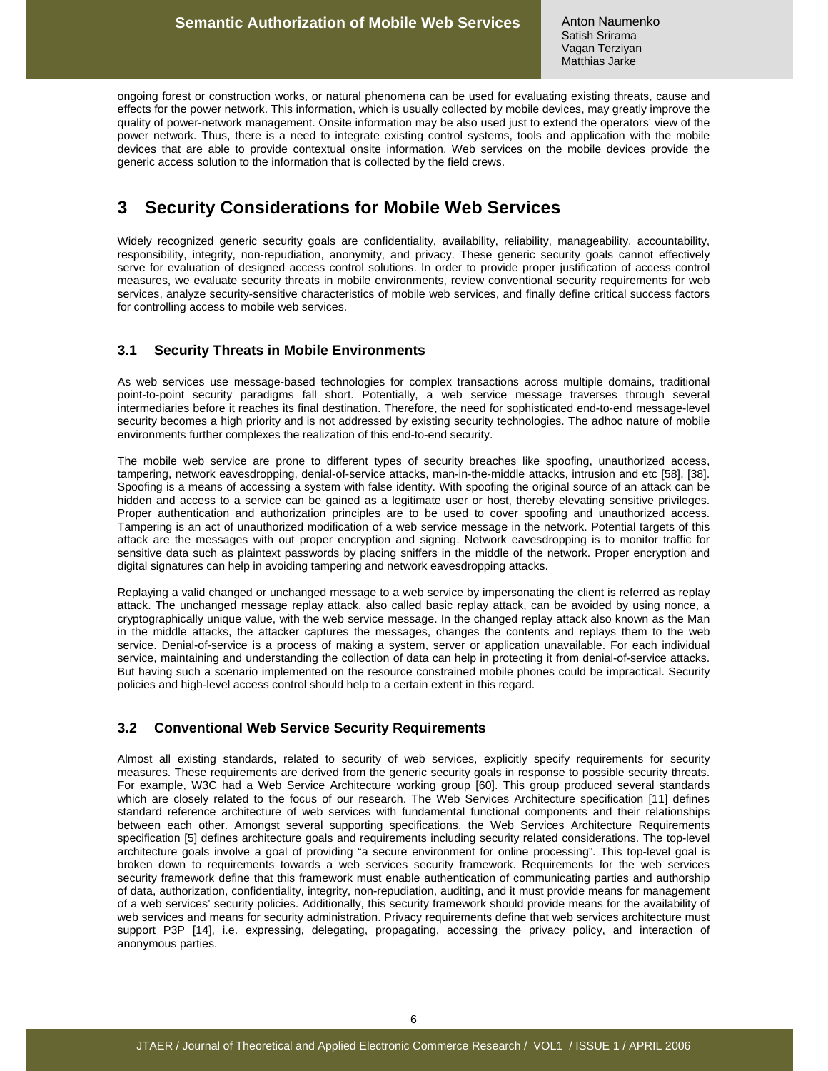ongoing forest or construction works, or natural phenomena can be used for evaluating existing threats, cause and effects for the power network. This information, which is usually collected by mobile devices, may greatly improve the quality of power-network management. Onsite information may be also used just to extend the operators' view of the power network. Thus, there is a need to integrate existing control systems, tools and application with the mobile devices that are able to provide contextual onsite information. Web services on the mobile devices provide the generic access solution to the information that is collected by the field crews.

# **3 Security Considerations for Mobile Web Services**

Widely recognized generic security goals are confidentiality, availability, reliability, manageability, accountability, responsibility, integrity, non-repudiation, anonymity, and privacy. These generic security goals cannot effectively serve for evaluation of designed access control solutions. In order to provide proper justification of access control measures, we evaluate security threats in mobile environments, review conventional security requirements for web services, analyze security-sensitive characteristics of mobile web services, and finally define critical success factors for controlling access to mobile web services.

## **3.1 Security Threats in Mobile Environments**

As web services use message-based technologies for complex transactions across multiple domains, traditional point-to-point security paradigms fall short. Potentially, a web service message traverses through several intermediaries before it reaches its final destination. Therefore, the need for sophisticated end-to-end message-level security becomes a high priority and is not addressed by existing security technologies. The adhoc nature of mobile environments further complexes the realization of this end-to-end security.

The mobile web service are prone to different types of security breaches like spoofing, unauthorized access, tampering, network eavesdropping, denial-of-service attacks, man-in-the-middle attacks, intrusion and etc [58], [38]. Spoofing is a means of accessing a system with false identity. With spoofing the original source of an attack can be hidden and access to a service can be gained as a legitimate user or host, thereby elevating sensitive privileges. Proper authentication and authorization principles are to be used to cover spoofing and unauthorized access. Tampering is an act of unauthorized modification of a web service message in the network. Potential targets of this attack are the messages with out proper encryption and signing. Network eavesdropping is to monitor traffic for sensitive data such as plaintext passwords by placing sniffers in the middle of the network. Proper encryption and digital signatures can help in avoiding tampering and network eavesdropping attacks.

Replaying a valid changed or unchanged message to a web service by impersonating the client is referred as replay attack. The unchanged message replay attack, also called basic replay attack, can be avoided by using nonce, a cryptographically unique value, with the web service message. In the changed replay attack also known as the Man in the middle attacks, the attacker captures the messages, changes the contents and replays them to the web service. Denial-of-service is a process of making a system, server or application unavailable. For each individual service, maintaining and understanding the collection of data can help in protecting it from denial-of-service attacks. But having such a scenario implemented on the resource constrained mobile phones could be impractical. Security policies and high-level access control should help to a certain extent in this regard.

### **3.2 Conventional Web Service Security Requirements**

Almost all existing standards, related to security of web services, explicitly specify requirements for security measures. These requirements are derived from the generic security goals in response to possible security threats. For example, W3C had a Web Service Architecture working group [60]. This group produced several standards which are closely related to the focus of our research. The Web Services Architecture specification [11] defines standard reference architecture of web services with fundamental functional components and their relationships between each other. Amongst several supporting specifications, the Web Services Architecture Requirements specification [5] defines architecture goals and requirements including security related considerations. The top-level architecture goals involve a goal of providing "a secure environment for online processing". This top-level goal is broken down to requirements towards a web services security framework. Requirements for the web services security framework define that this framework must enable authentication of communicating parties and authorship of data, authorization, confidentiality, integrity, non-repudiation, auditing, and it must provide means for management of a web services' security policies. Additionally, this security framework should provide means for the availability of web services and means for security administration. Privacy requirements define that web services architecture must support P3P [14], i.e. expressing, delegating, propagating, accessing the privacy policy, and interaction of anonymous parties.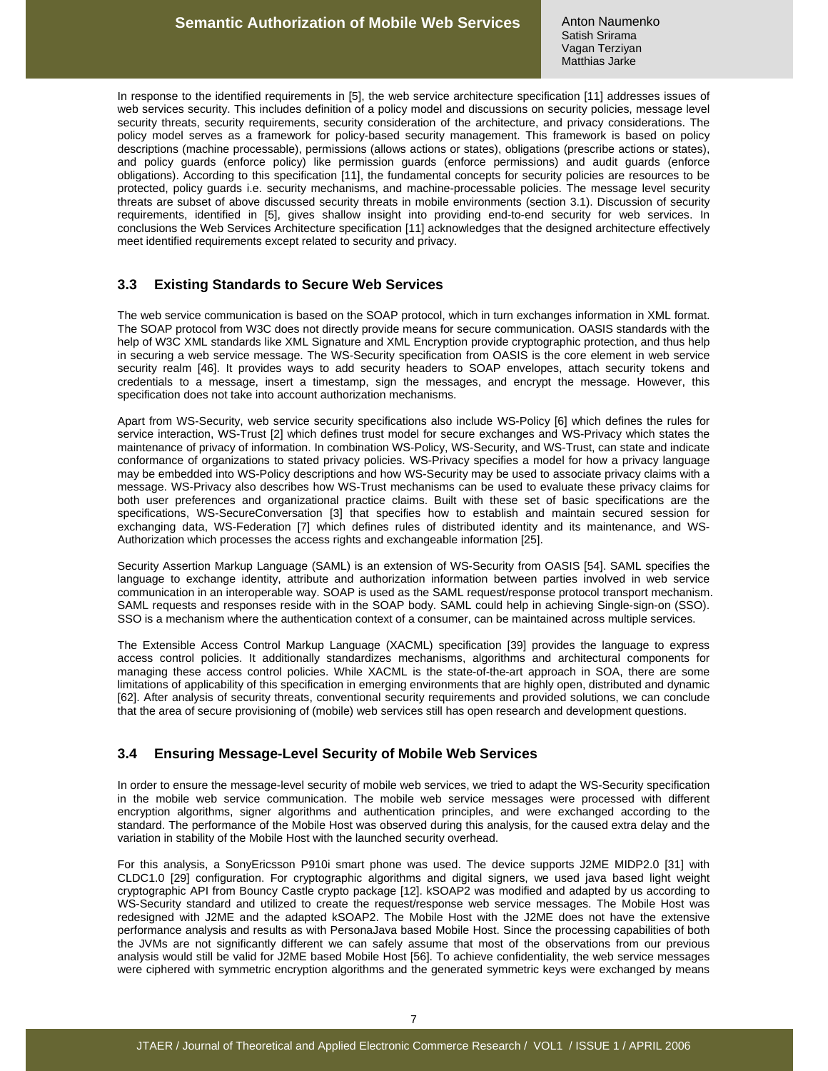In response to the identified requirements in [5], the web service architecture specification [11] addresses issues of web services security. This includes definition of a policy model and discussions on security policies, message level security threats, security requirements, security consideration of the architecture, and privacy considerations. The policy model serves as a framework for policy-based security management. This framework is based on policy descriptions (machine processable), permissions (allows actions or states), obligations (prescribe actions or states), and policy guards (enforce policy) like permission guards (enforce permissions) and audit guards (enforce obligations). According to this specification [11], the fundamental concepts for security policies are resources to be protected, policy guards i.e. security mechanisms, and machine-processable policies. The message level security threats are subset of above discussed security threats in mobile environments (section 3.1). Discussion of security requirements, identified in [5], gives shallow insight into providing end-to-end security for web services. In conclusions the Web Services Architecture specification [11] acknowledges that the designed architecture effectively meet identified requirements except related to security and privacy.

#### **3.3 Existing Standards to Secure Web Services**

The web service communication is based on the SOAP protocol, which in turn exchanges information in XML format. The SOAP protocol from W3C does not directly provide means for secure communication. OASIS standards with the help of W3C XML standards like XML Signature and XML Encryption provide cryptographic protection, and thus help in securing a web service message. The WS-Security specification from OASIS is the core element in web service security realm [46]. It provides ways to add security headers to SOAP envelopes, attach security tokens and credentials to a message, insert a timestamp, sign the messages, and encrypt the message. However, this specification does not take into account authorization mechanisms.

Apart from WS-Security, web service security specifications also include WS-Policy [6] which defines the rules for service interaction, WS-Trust [2] which defines trust model for secure exchanges and WS-Privacy which states the maintenance of privacy of information. In combination WS-Policy, WS-Security, and WS-Trust, can state and indicate conformance of organizations to stated privacy policies. WS-Privacy specifies a model for how a privacy language may be embedded into WS-Policy descriptions and how WS-Security may be used to associate privacy claims with a message. WS-Privacy also describes how WS-Trust mechanisms can be used to evaluate these privacy claims for both user preferences and organizational practice claims. Built with these set of basic specifications are the specifications, WS-SecureConversation [3] that specifies how to establish and maintain secured session for exchanging data, WS-Federation [7] which defines rules of distributed identity and its maintenance, and WS-Authorization which processes the access rights and exchangeable information [25].

Security Assertion Markup Language (SAML) is an extension of WS-Security from OASIS [54]. SAML specifies the language to exchange identity, attribute and authorization information between parties involved in web service communication in an interoperable way. SOAP is used as the SAML request/response protocol transport mechanism. SAML requests and responses reside with in the SOAP body. SAML could help in achieving Single-sign-on (SSO). SSO is a mechanism where the authentication context of a consumer, can be maintained across multiple services.

The Extensible Access Control Markup Language (XACML) specification [39] provides the language to express access control policies. It additionally standardizes mechanisms, algorithms and architectural components for managing these access control policies. While XACML is the state-of-the-art approach in SOA, there are some limitations of applicability of this specification in emerging environments that are highly open, distributed and dynamic [62]. After analysis of security threats, conventional security requirements and provided solutions, we can conclude that the area of secure provisioning of (mobile) web services still has open research and development questions.

#### **3.4 Ensuring Message-Level Security of Mobile Web Services**

In order to ensure the message-level security of mobile web services, we tried to adapt the WS-Security specification in the mobile web service communication. The mobile web service messages were processed with different encryption algorithms, signer algorithms and authentication principles, and were exchanged according to the standard. The performance of the Mobile Host was observed during this analysis, for the caused extra delay and the variation in stability of the Mobile Host with the launched security overhead.

For this analysis, a SonyEricsson P910i smart phone was used. The device supports J2ME MIDP2.0 [31] with CLDC1.0 [29] configuration. For cryptographic algorithms and digital signers, we used java based light weight cryptographic API from Bouncy Castle crypto package [12]. kSOAP2 was modified and adapted by us according to WS-Security standard and utilized to create the request/response web service messages. The Mobile Host was redesigned with J2ME and the adapted kSOAP2. The Mobile Host with the J2ME does not have the extensive performance analysis and results as with PersonaJava based Mobile Host. Since the processing capabilities of both the JVMs are not significantly different we can safely assume that most of the observations from our previous analysis would still be valid for J2ME based Mobile Host [56]. To achieve confidentiality, the web service messages were ciphered with symmetric encryption algorithms and the generated symmetric keys were exchanged by means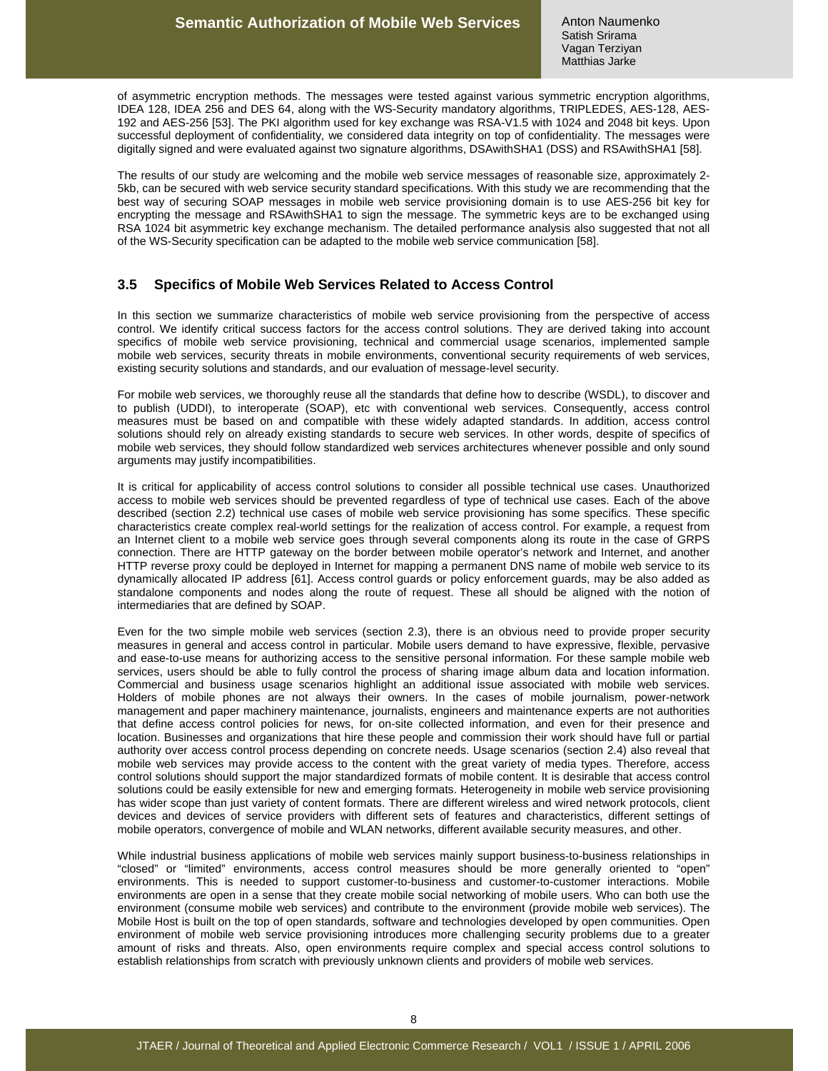of asymmetric encryption methods. The messages were tested against various symmetric encryption algorithms, IDEA 128, IDEA 256 and DES 64, along with the WS-Security mandatory algorithms, TRIPLEDES, AES-128, AES-192 and AES-256 [53]. The PKI algorithm used for key exchange was RSA-V1.5 with 1024 and 2048 bit keys. Upon successful deployment of confidentiality, we considered data integrity on top of confidentiality. The messages were digitally signed and were evaluated against two signature algorithms, DSAwithSHA1 (DSS) and RSAwithSHA1 [58].

The results of our study are welcoming and the mobile web service messages of reasonable size, approximately 2- 5kb, can be secured with web service security standard specifications. With this study we are recommending that the best way of securing SOAP messages in mobile web service provisioning domain is to use AES-256 bit key for encrypting the message and RSAwithSHA1 to sign the message. The symmetric keys are to be exchanged using RSA 1024 bit asymmetric key exchange mechanism. The detailed performance analysis also suggested that not all of the WS-Security specification can be adapted to the mobile web service communication [58].

#### **3.5 Specifics of Mobile Web Services Related to Access Control**

In this section we summarize characteristics of mobile web service provisioning from the perspective of access control. We identify critical success factors for the access control solutions. They are derived taking into account specifics of mobile web service provisioning, technical and commercial usage scenarios, implemented sample mobile web services, security threats in mobile environments, conventional security requirements of web services, existing security solutions and standards, and our evaluation of message-level security.

For mobile web services, we thoroughly reuse all the standards that define how to describe (WSDL), to discover and to publish (UDDI), to interoperate (SOAP), etc with conventional web services. Consequently, access control measures must be based on and compatible with these widely adapted standards. In addition, access control solutions should rely on already existing standards to secure web services. In other words, despite of specifics of mobile web services, they should follow standardized web services architectures whenever possible and only sound arguments may justify incompatibilities.

It is critical for applicability of access control solutions to consider all possible technical use cases. Unauthorized access to mobile web services should be prevented regardless of type of technical use cases. Each of the above described (section 2.2) technical use cases of mobile web service provisioning has some specifics. These specific characteristics create complex real-world settings for the realization of access control. For example, a request from an Internet client to a mobile web service goes through several components along its route in the case of GRPS connection. There are HTTP gateway on the border between mobile operator's network and Internet, and another HTTP reverse proxy could be deployed in Internet for mapping a permanent DNS name of mobile web service to its dynamically allocated IP address [61]. Access control guards or policy enforcement guards, may be also added as standalone components and nodes along the route of request. These all should be aligned with the notion of intermediaries that are defined by SOAP.

Even for the two simple mobile web services (section 2.3), there is an obvious need to provide proper security measures in general and access control in particular. Mobile users demand to have expressive, flexible, pervasive and ease-to-use means for authorizing access to the sensitive personal information. For these sample mobile web services, users should be able to fully control the process of sharing image album data and location information. Commercial and business usage scenarios highlight an additional issue associated with mobile web services. Holders of mobile phones are not always their owners. In the cases of mobile journalism, power-network management and paper machinery maintenance, journalists, engineers and maintenance experts are not authorities that define access control policies for news, for on-site collected information, and even for their presence and location. Businesses and organizations that hire these people and commission their work should have full or partial authority over access control process depending on concrete needs. Usage scenarios (section 2.4) also reveal that mobile web services may provide access to the content with the great variety of media types. Therefore, access control solutions should support the major standardized formats of mobile content. It is desirable that access control solutions could be easily extensible for new and emerging formats. Heterogeneity in mobile web service provisioning has wider scope than just variety of content formats. There are different wireless and wired network protocols, client devices and devices of service providers with different sets of features and characteristics, different settings of mobile operators, convergence of mobile and WLAN networks, different available security measures, and other.

While industrial business applications of mobile web services mainly support business-to-business relationships in "closed" or "limited" environments, access control measures should be more generally oriented to "open" environments. This is needed to support customer-to-business and customer-to-customer interactions. Mobile environments are open in a sense that they create mobile social networking of mobile users. Who can both use the environment (consume mobile web services) and contribute to the environment (provide mobile web services). The Mobile Host is built on the top of open standards, software and technologies developed by open communities. Open environment of mobile web service provisioning introduces more challenging security problems due to a greater amount of risks and threats. Also, open environments require complex and special access control solutions to establish relationships from scratch with previously unknown clients and providers of mobile web services.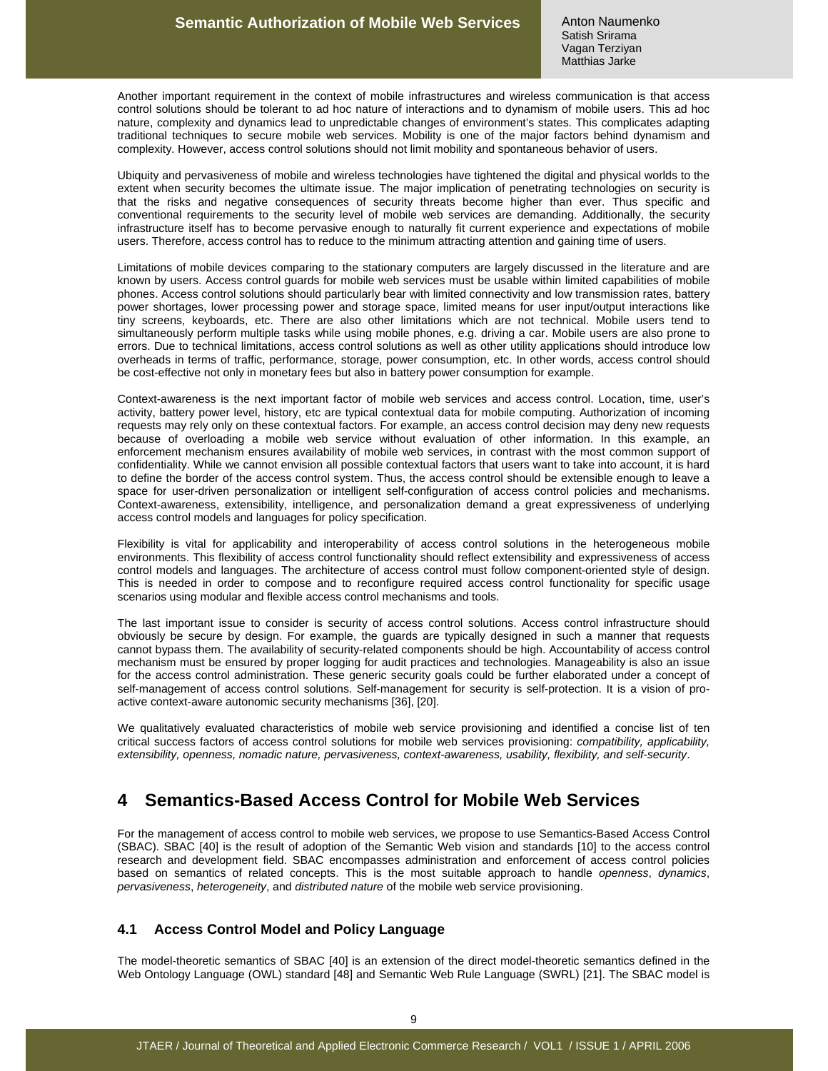Another important requirement in the context of mobile infrastructures and wireless communication is that access control solutions should be tolerant to ad hoc nature of interactions and to dynamism of mobile users. This ad hoc nature, complexity and dynamics lead to unpredictable changes of environment's states. This complicates adapting traditional techniques to secure mobile web services. Mobility is one of the major factors behind dynamism and complexity. However, access control solutions should not limit mobility and spontaneous behavior of users.

Ubiquity and pervasiveness of mobile and wireless technologies have tightened the digital and physical worlds to the extent when security becomes the ultimate issue. The major implication of penetrating technologies on security is that the risks and negative consequences of security threats become higher than ever. Thus specific and conventional requirements to the security level of mobile web services are demanding. Additionally, the security infrastructure itself has to become pervasive enough to naturally fit current experience and expectations of mobile users. Therefore, access control has to reduce to the minimum attracting attention and gaining time of users.

Limitations of mobile devices comparing to the stationary computers are largely discussed in the literature and are known by users. Access control guards for mobile web services must be usable within limited capabilities of mobile phones. Access control solutions should particularly bear with limited connectivity and low transmission rates, battery power shortages, lower processing power and storage space, limited means for user input/output interactions like tiny screens, keyboards, etc. There are also other limitations which are not technical. Mobile users tend to simultaneously perform multiple tasks while using mobile phones, e.g. driving a car. Mobile users are also prone to errors. Due to technical limitations, access control solutions as well as other utility applications should introduce low overheads in terms of traffic, performance, storage, power consumption, etc. In other words, access control should be cost-effective not only in monetary fees but also in battery power consumption for example.

Context-awareness is the next important factor of mobile web services and access control. Location, time, user's activity, battery power level, history, etc are typical contextual data for mobile computing. Authorization of incoming requests may rely only on these contextual factors. For example, an access control decision may deny new requests because of overloading a mobile web service without evaluation of other information. In this example, an enforcement mechanism ensures availability of mobile web services, in contrast with the most common support of confidentiality. While we cannot envision all possible contextual factors that users want to take into account, it is hard to define the border of the access control system. Thus, the access control should be extensible enough to leave a space for user-driven personalization or intelligent self-configuration of access control policies and mechanisms. Context-awareness, extensibility, intelligence, and personalization demand a great expressiveness of underlying access control models and languages for policy specification.

Flexibility is vital for applicability and interoperability of access control solutions in the heterogeneous mobile environments. This flexibility of access control functionality should reflect extensibility and expressiveness of access control models and languages. The architecture of access control must follow component-oriented style of design. This is needed in order to compose and to reconfigure required access control functionality for specific usage scenarios using modular and flexible access control mechanisms and tools.

The last important issue to consider is security of access control solutions. Access control infrastructure should obviously be secure by design. For example, the guards are typically designed in such a manner that requests cannot bypass them. The availability of security-related components should be high. Accountability of access control mechanism must be ensured by proper logging for audit practices and technologies. Manageability is also an issue for the access control administration. These generic security goals could be further elaborated under a concept of self-management of access control solutions. Self-management for security is self-protection. It is a vision of proactive context-aware autonomic security mechanisms [36], [20].

We qualitatively evaluated characteristics of mobile web service provisioning and identified a concise list of ten critical success factors of access control solutions for mobile web services provisioning: compatibility, applicability, extensibility, openness, nomadic nature, pervasiveness, context-awareness, usability, flexibility, and self-security.

# **4 Semantics-Based Access Control for Mobile Web Services**

For the management of access control to mobile web services, we propose to use Semantics-Based Access Control (SBAC). SBAC [40] is the result of adoption of the Semantic Web vision and standards [10] to the access control research and development field. SBAC encompasses administration and enforcement of access control policies based on semantics of related concepts. This is the most suitable approach to handle openness, dynamics, pervasiveness, heterogeneity, and distributed nature of the mobile web service provisioning.

### **4.1 Access Control Model and Policy Language**

The model-theoretic semantics of SBAC [40] is an extension of the direct model-theoretic semantics defined in the Web Ontology Language (OWL) standard [48] and Semantic Web Rule Language (SWRL) [21]. The SBAC model is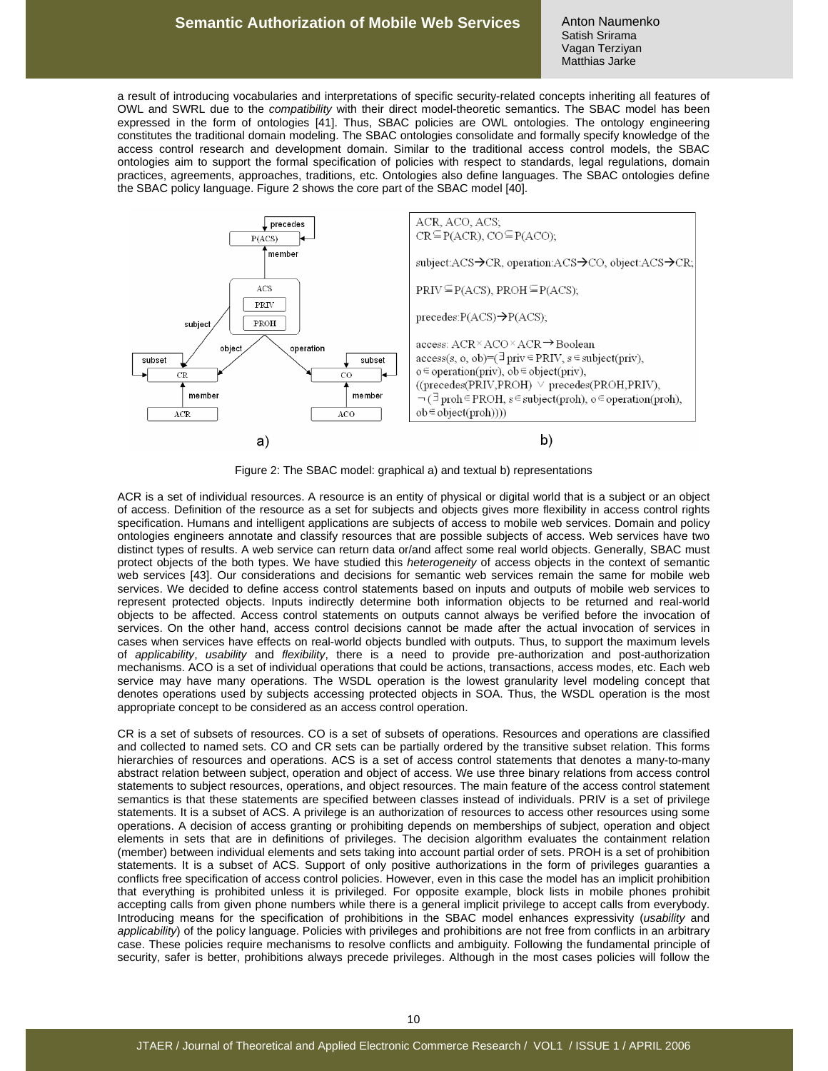#### **Semantic Authorization of Mobile Web Services**

Anton Naumenko Satish Srirama Vagan Terziyan Matthias Jarke

a result of introducing vocabularies and interpretations of specific security-related concepts inheriting all features of OWL and SWRL due to the compatibility with their direct model-theoretic semantics. The SBAC model has been expressed in the form of ontologies [41]. Thus, SBAC policies are OWL ontologies. The ontology engineering constitutes the traditional domain modeling. The SBAC ontologies consolidate and formally specify knowledge of the access control research and development domain. Similar to the traditional access control models, the SBAC ontologies aim to support the formal specification of policies with respect to standards, legal regulations, domain practices, agreements, approaches, traditions, etc. Ontologies also define languages. The SBAC ontologies define the SBAC policy language. Figure 2 shows the core part of the SBAC model [40].



Figure 2: The SBAC model: graphical a) and textual b) representations

ACR is a set of individual resources. A resource is an entity of physical or digital world that is a subject or an object of access. Definition of the resource as a set for subjects and objects gives more flexibility in access control rights specification. Humans and intelligent applications are subjects of access to mobile web services. Domain and policy ontologies engineers annotate and classify resources that are possible subjects of access. Web services have two distinct types of results. A web service can return data or/and affect some real world objects. Generally, SBAC must protect objects of the both types. We have studied this heterogeneity of access objects in the context of semantic web services [43]. Our considerations and decisions for semantic web services remain the same for mobile web services. We decided to define access control statements based on inputs and outputs of mobile web services to represent protected objects. Inputs indirectly determine both information objects to be returned and real-world objects to be affected. Access control statements on outputs cannot always be verified before the invocation of services. On the other hand, access control decisions cannot be made after the actual invocation of services in cases when services have effects on real-world objects bundled with outputs. Thus, to support the maximum levels of applicability, usability and flexibility, there is a need to provide pre-authorization and post-authorization mechanisms. ACO is a set of individual operations that could be actions, transactions, access modes, etc. Each web service may have many operations. The WSDL operation is the lowest granularity level modeling concept that denotes operations used by subjects accessing protected objects in SOA. Thus, the WSDL operation is the most appropriate concept to be considered as an access control operation.

CR is a set of subsets of resources. CO is a set of subsets of operations. Resources and operations are classified and collected to named sets. CO and CR sets can be partially ordered by the transitive subset relation. This forms hierarchies of resources and operations. ACS is a set of access control statements that denotes a many-to-many abstract relation between subject, operation and object of access. We use three binary relations from access control statements to subject resources, operations, and object resources. The main feature of the access control statement semantics is that these statements are specified between classes instead of individuals. PRIV is a set of privilege statements. It is a subset of ACS. A privilege is an authorization of resources to access other resources using some operations. A decision of access granting or prohibiting depends on memberships of subject, operation and object elements in sets that are in definitions of privileges. The decision algorithm evaluates the containment relation (member) between individual elements and sets taking into account partial order of sets. PROH is a set of prohibition statements. It is a subset of ACS. Support of only positive authorizations in the form of privileges guaranties a conflicts free specification of access control policies. However, even in this case the model has an implicit prohibition that everything is prohibited unless it is privileged. For opposite example, block lists in mobile phones prohibit accepting calls from given phone numbers while there is a general implicit privilege to accept calls from everybody. Introducing means for the specification of prohibitions in the SBAC model enhances expressivity (usability and applicability) of the policy language. Policies with privileges and prohibitions are not free from conflicts in an arbitrary case. These policies require mechanisms to resolve conflicts and ambiguity. Following the fundamental principle of security, safer is better, prohibitions always precede privileges. Although in the most cases policies will follow the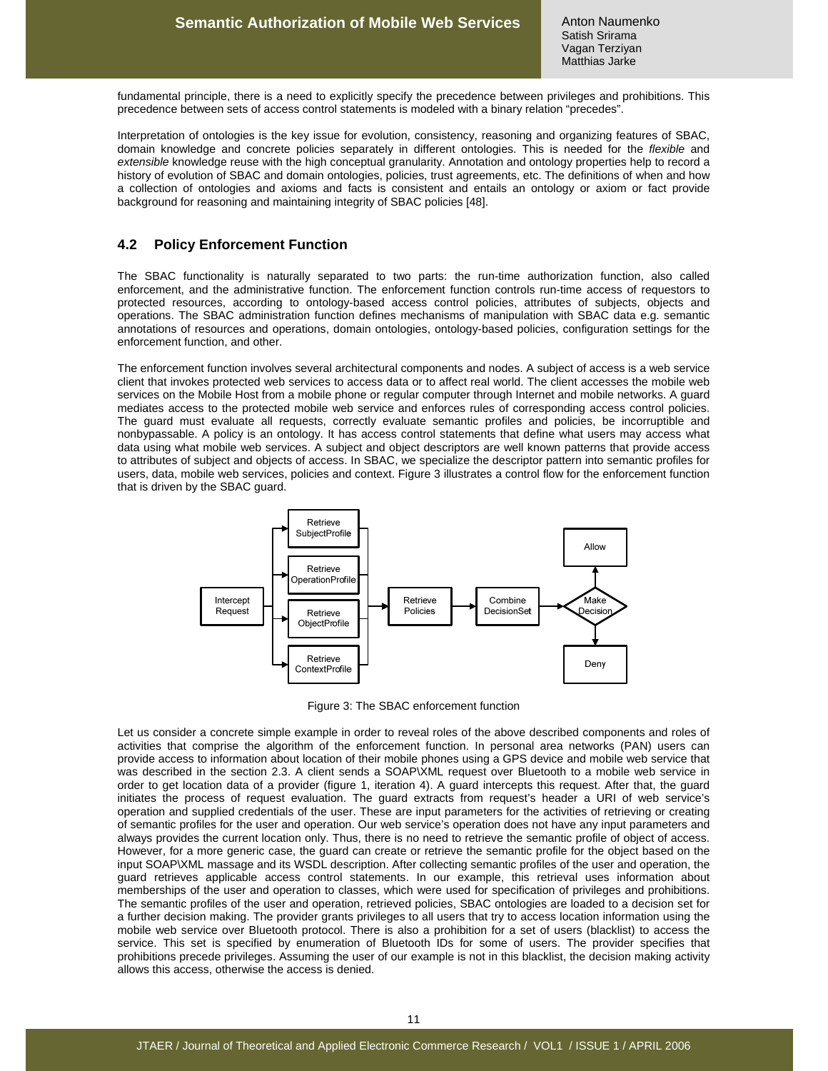fundamental principle, there is a need to explicitly specify the precedence between privileges and prohibitions. This precedence between sets of access control statements is modeled with a binary relation "precedes".

Interpretation of ontologies is the key issue for evolution, consistency, reasoning and organizing features of SBAC, domain knowledge and concrete policies separately in different ontologies. This is needed for the flexible and extensible knowledge reuse with the high conceptual granularity. Annotation and ontology properties help to record a history of evolution of SBAC and domain ontologies, policies, trust agreements, etc. The definitions of when and how a collection of ontologies and axioms and facts is consistent and entails an ontology or axiom or fact provide background for reasoning and maintaining integrity of SBAC policies [48].

#### **4.2 Policy Enforcement Function**

The SBAC functionality is naturally separated to two parts: the run-time authorization function, also called enforcement, and the administrative function. The enforcement function controls run-time access of requestors to protected resources, according to ontology-based access control policies, attributes of subjects, objects and operations. The SBAC administration function defines mechanisms of manipulation with SBAC data e.g. semantic annotations of resources and operations, domain ontologies, ontology-based policies, configuration settings for the enforcement function, and other.

The enforcement function involves several architectural components and nodes. A subject of access is a web service client that invokes protected web services to access data or to affect real world. The client accesses the mobile web services on the Mobile Host from a mobile phone or regular computer through Internet and mobile networks. A guard mediates access to the protected mobile web service and enforces rules of corresponding access control policies. The guard must evaluate all requests, correctly evaluate semantic profiles and policies, be incorruptible and nonbypassable. A policy is an ontology. It has access control statements that define what users may access what data using what mobile web services. A subject and object descriptors are well known patterns that provide access to attributes of subject and objects of access. In SBAC, we specialize the descriptor pattern into semantic profiles for users, data, mobile web services, policies and context. Figure 3 illustrates a control flow for the enforcement function that is driven by the SBAC guard.



Figure 3: The SBAC enforcement function

Let us consider a concrete simple example in order to reveal roles of the above described components and roles of activities that comprise the algorithm of the enforcement function. In personal area networks (PAN) users can provide access to information about location of their mobile phones using a GPS device and mobile web service that was described in the section 2.3. A client sends a SOAP\XML request over Bluetooth to a mobile web service in order to get location data of a provider (figure 1, iteration 4). A guard intercepts this request. After that, the guard initiates the process of request evaluation. The guard extracts from request's header a URI of web service's operation and supplied credentials of the user. These are input parameters for the activities of retrieving or creating of semantic profiles for the user and operation. Our web service's operation does not have any input parameters and always provides the current location only. Thus, there is no need to retrieve the semantic profile of object of access. However, for a more generic case, the guard can create or retrieve the semantic profile for the object based on the input SOAP\XML massage and its WSDL description. After collecting semantic profiles of the user and operation, the guard retrieves applicable access control statements. In our example, this retrieval uses information about memberships of the user and operation to classes, which were used for specification of privileges and prohibitions. The semantic profiles of the user and operation, retrieved policies, SBAC ontologies are loaded to a decision set for a further decision making. The provider grants privileges to all users that try to access location information using the mobile web service over Bluetooth protocol. There is also a prohibition for a set of users (blacklist) to access the service. This set is specified by enumeration of Bluetooth IDs for some of users. The provider specifies that prohibitions precede privileges. Assuming the user of our example is not in this blacklist, the decision making activity allows this access, otherwise the access is denied.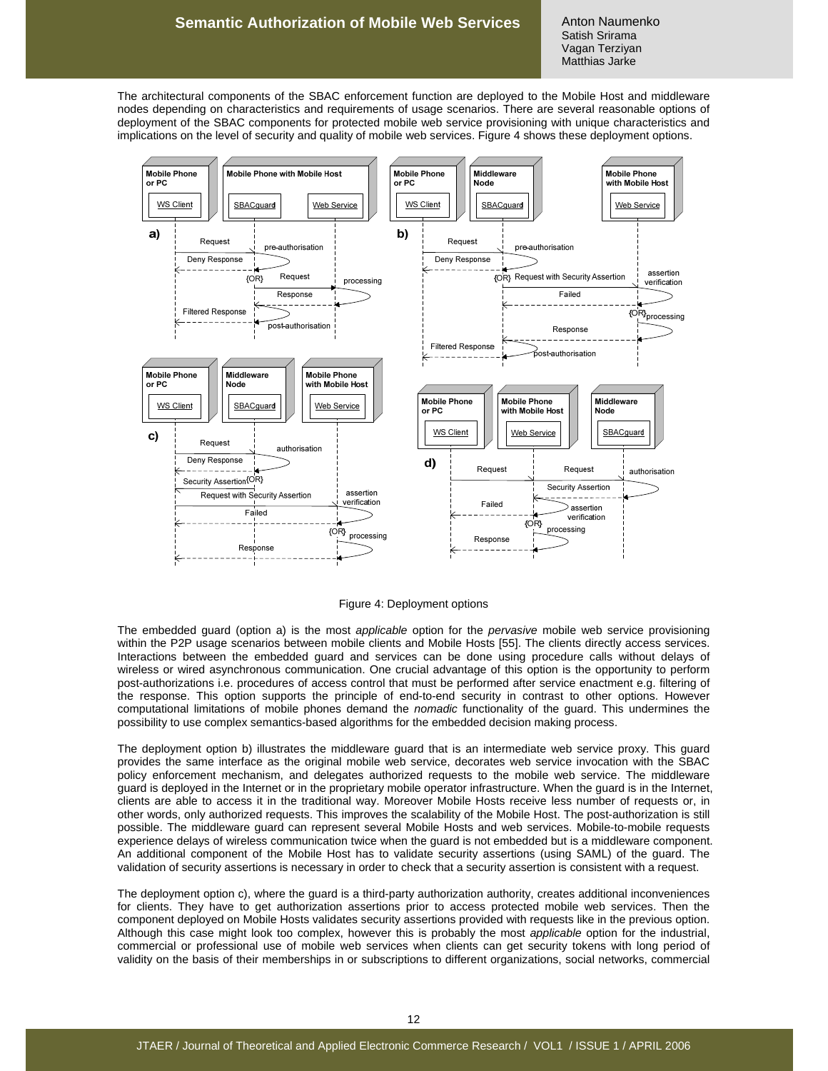The architectural components of the SBAC enforcement function are deployed to the Mobile Host and middleware nodes depending on characteristics and requirements of usage scenarios. There are several reasonable options of deployment of the SBAC components for protected mobile web service provisioning with unique characteristics and implications on the level of security and quality of mobile web services. Figure 4 shows these deployment options.



Figure 4: Deployment options

The embedded guard (option a) is the most applicable option for the pervasive mobile web service provisioning within the P2P usage scenarios between mobile clients and Mobile Hosts [55]. The clients directly access services. Interactions between the embedded guard and services can be done using procedure calls without delays of wireless or wired asynchronous communication. One crucial advantage of this option is the opportunity to perform post-authorizations i.e. procedures of access control that must be performed after service enactment e.g. filtering of the response. This option supports the principle of end-to-end security in contrast to other options. However computational limitations of mobile phones demand the nomadic functionality of the guard. This undermines the possibility to use complex semantics-based algorithms for the embedded decision making process.

The deployment option b) illustrates the middleware guard that is an intermediate web service proxy. This guard provides the same interface as the original mobile web service, decorates web service invocation with the SBAC policy enforcement mechanism, and delegates authorized requests to the mobile web service. The middleware guard is deployed in the Internet or in the proprietary mobile operator infrastructure. When the guard is in the Internet, clients are able to access it in the traditional way. Moreover Mobile Hosts receive less number of requests or, in other words, only authorized requests. This improves the scalability of the Mobile Host. The post-authorization is still possible. The middleware guard can represent several Mobile Hosts and web services. Mobile-to-mobile requests experience delays of wireless communication twice when the guard is not embedded but is a middleware component. An additional component of the Mobile Host has to validate security assertions (using SAML) of the guard. The validation of security assertions is necessary in order to check that a security assertion is consistent with a request.

The deployment option c), where the guard is a third-party authorization authority, creates additional inconveniences for clients. They have to get authorization assertions prior to access protected mobile web services. Then the component deployed on Mobile Hosts validates security assertions provided with requests like in the previous option. Although this case might look too complex, however this is probably the most applicable option for the industrial, commercial or professional use of mobile web services when clients can get security tokens with long period of validity on the basis of their memberships in or subscriptions to different organizations, social networks, commercial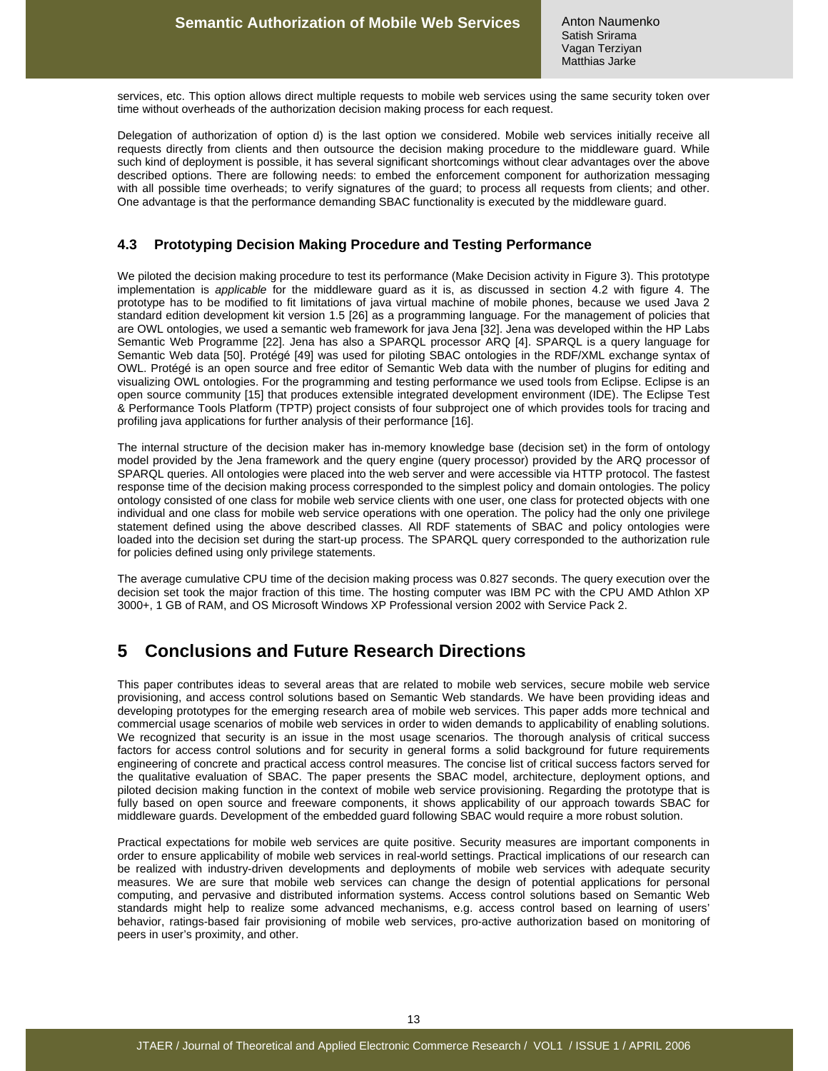services, etc. This option allows direct multiple requests to mobile web services using the same security token over time without overheads of the authorization decision making process for each request.

Delegation of authorization of option d) is the last option we considered. Mobile web services initially receive all requests directly from clients and then outsource the decision making procedure to the middleware guard. While such kind of deployment is possible, it has several significant shortcomings without clear advantages over the above described options. There are following needs: to embed the enforcement component for authorization messaging with all possible time overheads; to verify signatures of the guard; to process all requests from clients; and other. One advantage is that the performance demanding SBAC functionality is executed by the middleware guard.

### **4.3 Prototyping Decision Making Procedure and Testing Performance**

We piloted the decision making procedure to test its performance (Make Decision activity in Figure 3). This prototype implementation is applicable for the middleware guard as it is, as discussed in section 4.2 with figure 4. The prototype has to be modified to fit limitations of java virtual machine of mobile phones, because we used Java 2 standard edition development kit version 1.5 [26] as a programming language. For the management of policies that are OWL ontologies, we used a semantic web framework for java Jena [32]. Jena was developed within the HP Labs Semantic Web Programme [22]. Jena has also a SPARQL processor ARQ [4]. SPARQL is a query language for Semantic Web data [50]. Protégé [49] was used for piloting SBAC ontologies in the RDF/XML exchange syntax of OWL. Protégé is an open source and free editor of Semantic Web data with the number of plugins for editing and visualizing OWL ontologies. For the programming and testing performance we used tools from Eclipse. Eclipse is an open source community [15] that produces extensible integrated development environment (IDE). The Eclipse Test & Performance Tools Platform (TPTP) project consists of four subproject one of which provides tools for tracing and profiling java applications for further analysis of their performance [16].

The internal structure of the decision maker has in-memory knowledge base (decision set) in the form of ontology model provided by the Jena framework and the query engine (query processor) provided by the ARQ processor of SPARQL queries. All ontologies were placed into the web server and were accessible via HTTP protocol. The fastest response time of the decision making process corresponded to the simplest policy and domain ontologies. The policy ontology consisted of one class for mobile web service clients with one user, one class for protected objects with one individual and one class for mobile web service operations with one operation. The policy had the only one privilege statement defined using the above described classes. All RDF statements of SBAC and policy ontologies were loaded into the decision set during the start-up process. The SPARQL query corresponded to the authorization rule for policies defined using only privilege statements.

The average cumulative CPU time of the decision making process was 0.827 seconds. The query execution over the decision set took the major fraction of this time. The hosting computer was IBM PC with the CPU AMD Athlon XP 3000+, 1 GB of RAM, and OS Microsoft Windows XP Professional version 2002 with Service Pack 2.

# **5 Conclusions and Future Research Directions**

This paper contributes ideas to several areas that are related to mobile web services, secure mobile web service provisioning, and access control solutions based on Semantic Web standards. We have been providing ideas and developing prototypes for the emerging research area of mobile web services. This paper adds more technical and commercial usage scenarios of mobile web services in order to widen demands to applicability of enabling solutions. We recognized that security is an issue in the most usage scenarios. The thorough analysis of critical success factors for access control solutions and for security in general forms a solid background for future requirements engineering of concrete and practical access control measures. The concise list of critical success factors served for the qualitative evaluation of SBAC. The paper presents the SBAC model, architecture, deployment options, and piloted decision making function in the context of mobile web service provisioning. Regarding the prototype that is fully based on open source and freeware components, it shows applicability of our approach towards SBAC for middleware guards. Development of the embedded guard following SBAC would require a more robust solution.

Practical expectations for mobile web services are quite positive. Security measures are important components in order to ensure applicability of mobile web services in real-world settings. Practical implications of our research can be realized with industry-driven developments and deployments of mobile web services with adequate security measures. We are sure that mobile web services can change the design of potential applications for personal computing, and pervasive and distributed information systems. Access control solutions based on Semantic Web standards might help to realize some advanced mechanisms, e.g. access control based on learning of users' behavior, ratings-based fair provisioning of mobile web services, pro-active authorization based on monitoring of peers in user's proximity, and other.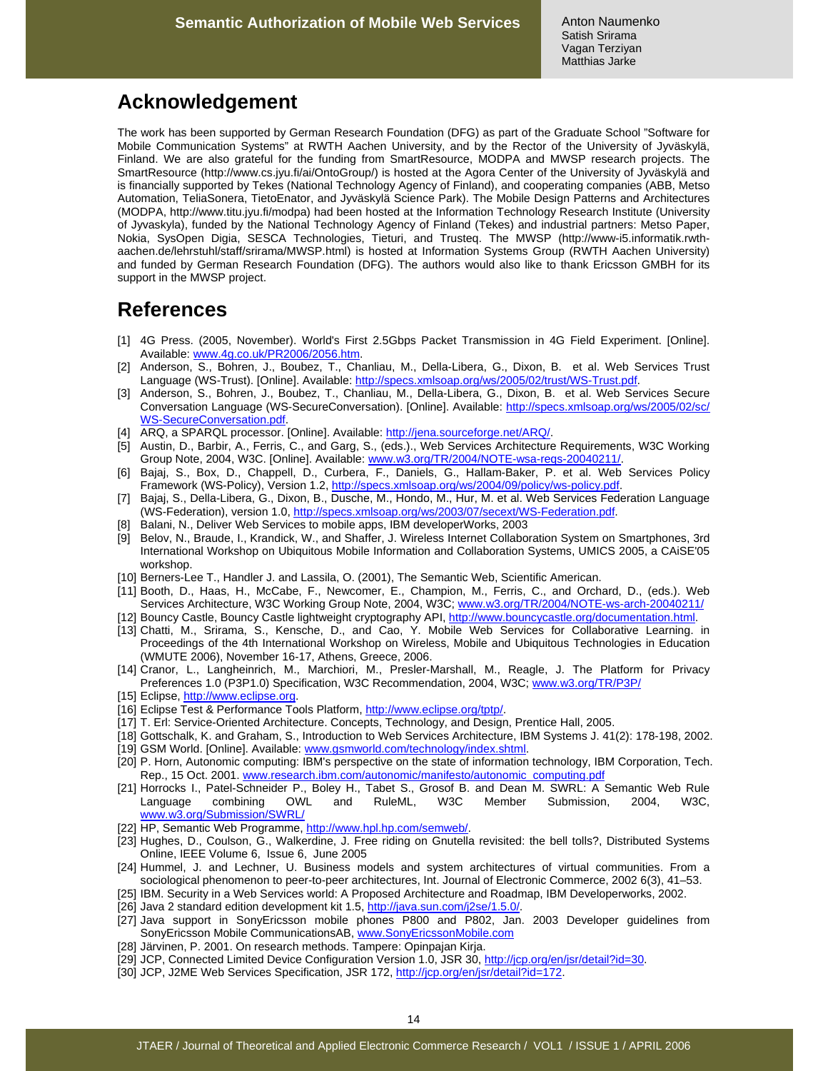# **Acknowledgement**

The work has been supported by German Research Foundation (DFG) as part of the Graduate School "Software for Mobile Communication Systems" at RWTH Aachen University, and by the Rector of the University of Jyväskylä, Finland. We are also grateful for the funding from SmartResource, MODPA and MWSP research projects. The SmartResource (http://www.cs.jyu.fi/ai/OntoGroup/) is hosted at the Agora Center of the University of Jyväskylä and is financially supported by Tekes (National Technology Agency of Finland), and cooperating companies (ABB, Metso Automation, TeliaSonera, TietoEnator, and Jyväskylä Science Park). The Mobile Design Patterns and Architectures (MODPA, http://www.titu.jyu.fi/modpa) had been hosted at the Information Technology Research Institute (University of Jyvaskyla), funded by the National Technology Agency of Finland (Tekes) and industrial partners: Metso Paper, Nokia, SysOpen Digia, SESCA Technologies, Tieturi, and Trusteq. The MWSP (http://www-i5.informatik.rwthaachen.de/lehrstuhl/staff/srirama/MWSP.html) is hosted at Information Systems Group (RWTH Aachen University) and funded by German Research Foundation (DFG). The authors would also like to thank Ericsson GMBH for its support in the MWSP project.

# **References**

- [1] 4G Press. (2005, November). World's First 2.5Gbps Packet Transmission in 4G Field Experiment. [Online]. Available: www.4g.co.uk/PR2006/2056.htm.
- [2] Anderson, S., Bohren, J., Boubez, T., Chanliau, M., Della-Libera, G., Dixon, B. et al. Web Services Trust Language (WS-Trust). [Online]. Available: http://specs.xmlsoap.org/ws/2005/02/trust/WS-Trust.pdf
- [3] Anderson, S., Bohren, J., Boubez, T., Chanliau, M., Della-Libera, G., Dixon, B. et al. Web Services Secure Conversation Language (WS-SecureConversation). [Online]. Available: http://specs.xmlsoap.org/ws/2005/02/sc/ WS-SecureConversation.pdf.
- [4] ARQ, a SPARQL processor. [Online]. Available: http://jena.sourceforge.net/ARQ/.
- [5] Austin, D., Barbir, A., Ferris, C., and Garg, S., (eds.)., Web Services Architecture Requirements, W3C Working Group Note, 2004, W3C. [Online]. Available: www.w3.org/TR/2004/NOTE-wsa-reqs-20040211/.
- [6] Bajaj, S., Box, D., Chappell, D., Curbera, F., Daniels, G., Hallam-Baker, P. et al. Web Services Policy Framework (WS-Policy), Version 1.2, http://specs.xmlsoap.org/ws/2004/09/policy/ws-policy.pdf.
- [7] Bajaj, S., Della-Libera, G., Dixon, B., Dusche, M., Hondo, M., Hur, M. et al. Web Services Federation Language (WS-Federation), version 1.0, http://specs.xmlsoap.org/ws/2003/07/secext/WS-Federation.pdf.
- [8] Balani, N., Deliver Web Services to mobile apps, IBM developerWorks, 2003
- [9] Belov, N., Braude, I., Krandick, W., and Shaffer, J. Wireless Internet Collaboration System on Smartphones, 3rd International Workshop on Ubiquitous Mobile Information and Collaboration Systems, UMICS 2005, a CAiSE'05 workshop.
- [10] Berners-Lee T., Handler J. and Lassila, O. (2001), The Semantic Web, Scientific American.
- [11] Booth, D., Haas, H., McCabe, F., Newcomer, E., Champion, M., Ferris, C., and Orchard, D., (eds.). Web Services Architecture, W3C Working Group Note, 2004, W3C; www.w3.org/TR/2004/NOTE-ws-arch-20040211/
- [12] Bouncy Castle, Bouncy Castle lightweight cryptography API, http://www.bouncycastle.org/documentation.html.
- [13] Chatti, M., Srirama, S., Kensche, D., and Cao, Y. Mobile Web Services for Collaborative Learning. in Proceedings of the 4th International Workshop on Wireless, Mobile and Ubiquitous Technologies in Education (WMUTE 2006), November 16-17, Athens, Greece, 2006.
- [14] Cranor, L., Langheinrich, M., Marchiori, M., Presler-Marshall, M., Reagle, J. The Platform for Privacy Preferences 1.0 (P3P1.0) Specification, W3C Recommendation, 2004, W3C; www.w3.org/TR/P3P/
- [15] Eclipse, http://www.eclipse.org.
- [16] Eclipse Test & Performance Tools Platform, http://www.eclipse.org/tptp/.
- [17] T. Erl: Service-Oriented Architecture. Concepts, Technology, and Design, Prentice Hall, 2005.
- [18] Gottschalk, K. and Graham, S., Introduction to Web Services Architecture, IBM Systems J. 41(2): 178-198, 2002. [19] GSM World. [Online]. Available: www.gsmworld.com/technology/index.shtml.
- [20] P. Horn, Autonomic computing: IBM's perspective on the state of information technology, IBM Corporation, Tech. Rep., 15 Oct. 2001. www.research.ibm.com/autonomic/manifesto/autonomic\_computing.pdf
- [21] Horrocks I., Patel-Schneider P., Boley H., Tabet S., Grosof B. and Dean M. SWRL: A Semantic Web Rule Language combining OWL and RuleML, W3C Member Submission, 2004, W3C, www.w3.org/Submission/SWRL/
- [22] HP, Semantic Web Programme, http://www.hpl.hp.com/semweb/.
- [23] Hughes, D., Coulson, G., Walkerdine, J. Free riding on Gnutella revisited: the bell tolls?, Distributed Systems Online, IEEE Volume 6, Issue 6, June 2005
- [24] Hummel, J. and Lechner, U. Business models and system architectures of virtual communities. From a sociological phenomenon to peer-to-peer architectures, Int. Journal of Electronic Commerce, 2002 6(3), 41–53.
- [25] IBM. Security in a Web Services world: A Proposed Architecture and Roadmap, IBM Developerworks, 2002.
- [26] Java 2 standard edition development kit 1.5, http://java.sun.com/j2se/1.5.0/.
- [27] Java support in SonyEricsson mobile phones P800 and P802, Jan. 2003 Developer guidelines from SonyEricsson Mobile CommunicationsAB, www.SonyEricssonMobile.com
- [28] Järvinen, P. 2001. On research methods. Tampere: Opinpajan Kirja.
- [29] JCP, Connected Limited Device Configuration Version 1.0, JSR 30, http://jcp.org/en/jsr/detail?id=30.
- [30] JCP, J2ME Web Services Specification, JSR 172, http://jcp.org/en/jsr/detail?id=172.